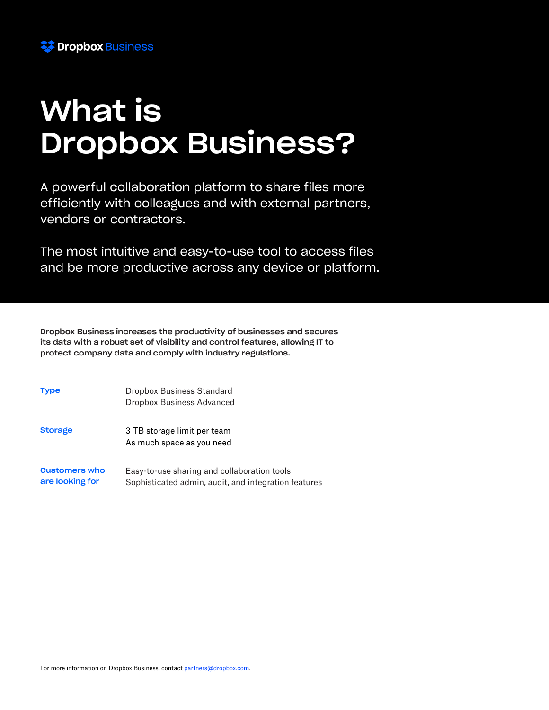

# What is Dropbox Business?

A powerful collaboration platform to share files more efficiently with colleagues and with external partners, vendors or contractors.

The most intuitive and easy-to-use tool to access files and be more productive across any device or platform.

Dropbox Business increases the productivity of businesses and secures its data with a robust set of visibility and control features, allowing IT to protect company data and comply with industry regulations.

| Type                                    | Dropbox Business Standard<br>Dropbox Business Advanced                                              |
|-----------------------------------------|-----------------------------------------------------------------------------------------------------|
| Storage                                 | 3 TB storage limit per team<br>As much space as you need                                            |
| <b>Customers who</b><br>are looking for | Easy-to-use sharing and collaboration tools<br>Sophisticated admin, audit, and integration features |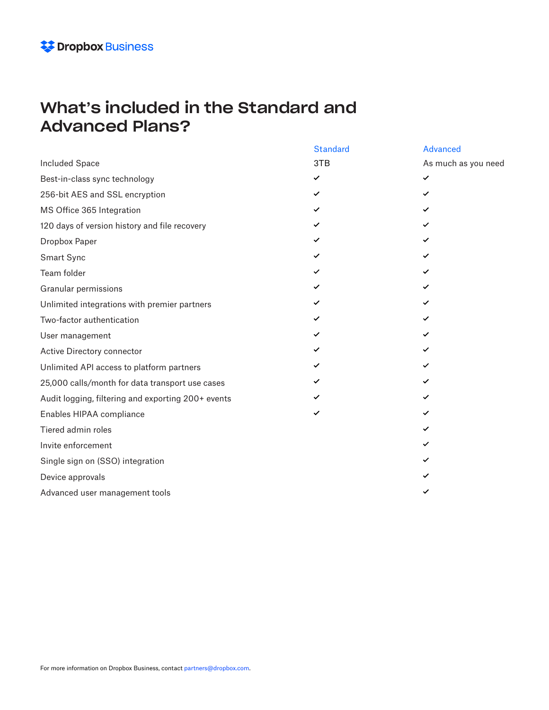### What's included in the Standard and Advanced Plans?

|                                                    | <b>Standard</b> | <b>Advanced</b>     |
|----------------------------------------------------|-----------------|---------------------|
| <b>Included Space</b>                              | 3TB             | As much as you need |
| Best-in-class sync technology                      | ✓               | $\checkmark$        |
| 256-bit AES and SSL encryption                     | ✓               | ✓                   |
| MS Office 365 Integration                          | ✓               | ✓                   |
| 120 days of version history and file recovery      | ✓               | ✓                   |
| Dropbox Paper                                      | ✓               | ✓                   |
| Smart Sync                                         | ✓               | ✓                   |
| Team folder                                        | ✓               | ✓                   |
| Granular permissions                               | ✓               | ✓                   |
| Unlimited integrations with premier partners       | ✓               | ✓                   |
| Two-factor authentication                          | ✓               | ✓                   |
| User management                                    | ✓               | ✓                   |
| Active Directory connector                         | ✓               | ✓                   |
| Unlimited API access to platform partners          | ✓               | ✓                   |
| 25,000 calls/month for data transport use cases    | ✓               | ✓                   |
| Audit logging, filtering and exporting 200+ events | ✓               | ✓                   |
| Enables HIPAA compliance                           | ✓               | ✓                   |
| Tiered admin roles                                 |                 | ✓                   |
| Invite enforcement                                 |                 | ✓                   |
| Single sign on (SSO) integration                   |                 | ✓                   |
| Device approvals                                   |                 | ✓                   |
| Advanced user management tools                     |                 | ✓                   |
|                                                    |                 |                     |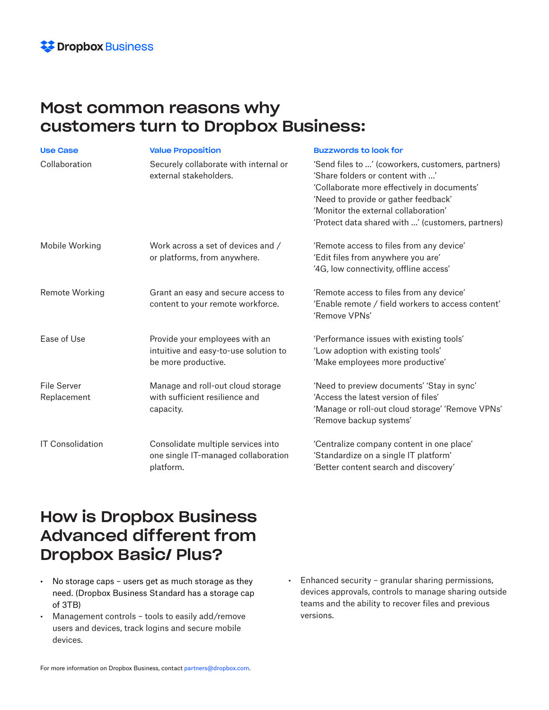

### Most common reasons why customers turn to Dropbox Business:

| <b>Use Case</b>                   | <b>Value Proposition</b>                                                                       | <b>Buzzwords to look for</b>                                                                                                                                                                                                                                              |
|-----------------------------------|------------------------------------------------------------------------------------------------|---------------------------------------------------------------------------------------------------------------------------------------------------------------------------------------------------------------------------------------------------------------------------|
| Collaboration                     | Securely collaborate with internal or<br>external stakeholders.                                | 'Send files to ' (coworkers, customers, partners)<br>'Share folders or content with '<br>'Collaborate more effectively in documents'<br>'Need to provide or gather feedback'<br>'Monitor the external collaboration'<br>'Protect data shared with ' (customers, partners) |
| Mobile Working                    | Work across a set of devices and /<br>or platforms, from anywhere.                             | 'Remote access to files from any device'<br>'Edit files from anywhere you are'<br>'4G, low connectivity, offline access'                                                                                                                                                  |
| <b>Remote Working</b>             | Grant an easy and secure access to<br>content to your remote workforce.                        | 'Remote access to files from any device'<br>'Enable remote / field workers to access content'<br>'Remove VPNs'                                                                                                                                                            |
| Ease of Use                       | Provide your employees with an<br>intuitive and easy-to-use solution to<br>be more productive. | 'Performance issues with existing tools'<br>'Low adoption with existing tools'<br>'Make employees more productive'                                                                                                                                                        |
| <b>File Server</b><br>Replacement | Manage and roll-out cloud storage<br>with sufficient resilience and<br>capacity.               | 'Need to preview documents' 'Stay in sync'<br>'Access the latest version of files'<br>'Manage or roll-out cloud storage' 'Remove VPNs'<br>'Remove backup systems'                                                                                                         |
| <b>IT Consolidation</b>           | Consolidate multiple services into<br>one single IT-managed collaboration<br>platform.         | 'Centralize company content in one place'<br>'Standardize on a single IT platform'<br>'Better content search and discovery'                                                                                                                                               |

### How is Dropbox Business Advanced different from Dropbox Basic/ Plus?

- No storage caps users get as much storage as they need. (Dropbox Business Standard has a storage cap of 3TB)
- Management controls tools to easily add/remove users and devices, track logins and secure mobile devices.
- Enhanced security granular sharing permissions, devices approvals, controls to manage sharing outside teams and the ability to recover files and previous versions.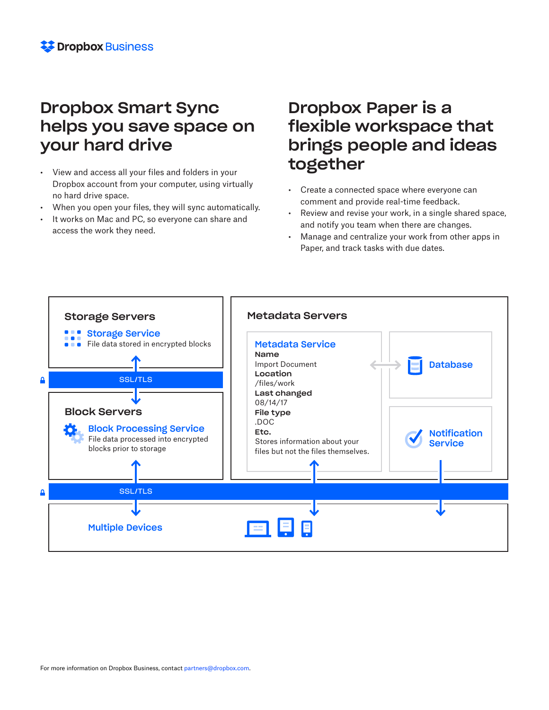## Dropbox Smart Sync helps you save space on your hard drive

- View and access all your files and folders in your Dropbox account from your computer, using virtually no hard drive space.
- When you open your files, they will sync automatically.
- It works on Mac and PC, so everyone can share and access the work they need.

# Dropbox Paper is a flexible workspace that brings people and ideas together

- Create a connected space where everyone can comment and provide real-time feedback.
- Review and revise your work, in a single shared space, and notify you team when there are changes.
- Manage and centralize your work from other apps in Paper, and track tasks with due dates.

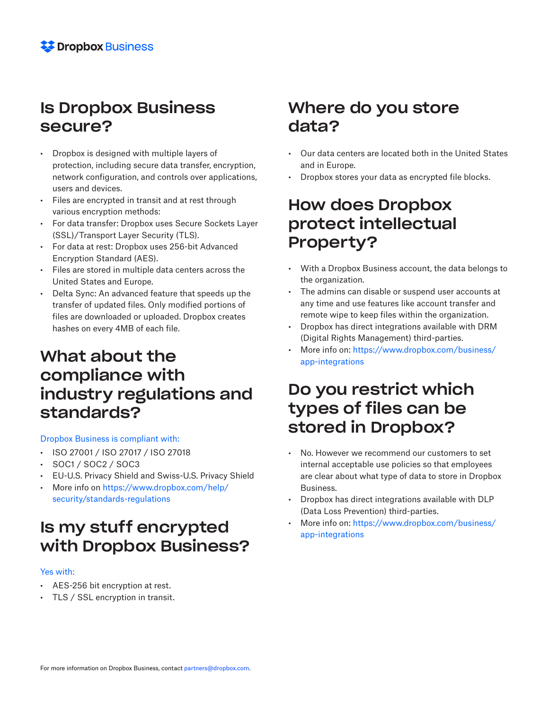## Is Dropbox Business secure?

- Dropbox is designed with multiple layers of protection, including secure data transfer, encryption, network configuration, and controls over applications, users and devices.
- Files are encrypted in transit and at rest through various encryption methods:
- For data transfer: Dropbox uses Secure Sockets Layer (SSL)/Transport Layer Security (TLS).
- For data at rest: Dropbox uses 256-bit Advanced Encryption Standard (AES).
- Files are stored in multiple data centers across the United States and Europe.
- Delta Sync: An advanced feature that speeds up the transfer of updated files. Only modified portions of files are downloaded or uploaded. Dropbox creates hashes on every 4MB of each file.

## What about the compliance with industry regulations and standards?

#### Dropbox Business is compliant with:

- ISO 27001 / ISO 27017 / ISO 27018
- SOC1 / SOC2 / SOC3
- EU-U.S. Privacy Shield and Swiss-U.S. Privacy Shield
- More info on https://www.dropbox.com/help/ security/standards-regulations

# Is my stuff encrypted with Dropbox Business?

#### Yes with:

- AES-256 bit encryption at rest.
- TLS / SSL encryption in transit.

## Where do you store data?

- Our data centers are located both in the United States and in Europe.
- Dropbox stores your data as encrypted file blocks.

## How does Dropbox protect intellectual Property?

- With a Dropbox Business account, the data belongs to the organization.
- The admins can disable or suspend user accounts at any time and use features like account transfer and remote wipe to keep files within the organization.
- Dropbox has direct integrations available with DRM (Digital Rights Management) third-parties.
- More info on: https://www.dropbox.com/business/ app-integrations

## Do you restrict which types of files can be stored in Dropbox?

- No. However we recommend our customers to set internal acceptable use policies so that employees are clear about what type of data to store in Dropbox Business.
- Dropbox has direct integrations available with DLP (Data Loss Prevention) third-parties.
- More info on: https://www.dropbox.com/business/ app-integrations